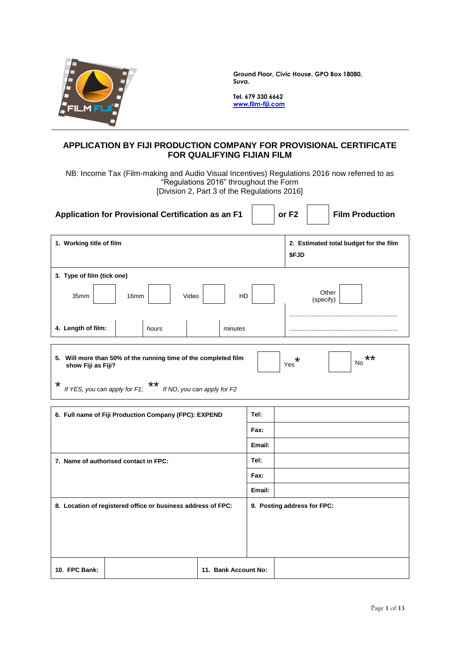

**Ground Floor, Civic House, GPO Box 18080, Suva.**

**Tel. 679 330 6662 www.film-fiji.com**

### **APPLICATION BY FIJI PRODUCTION COMPANY FOR PROVISIONAL CERTIFICATE FOR QUALIFYING FIJIAN FILM**

NB: Income Tax (Film-making and Audio Visual Incentives) Regulations 2016 now referred to as "Regulations 2016" throughout the Form [Division 2, Part 3 of the Regulations 2016]

| Application for Provisional Certification as an F1                                    |      |       |                             |                      |        | or F <sub>2</sub>           |           | <b>Film Production</b>                 |
|---------------------------------------------------------------------------------------|------|-------|-----------------------------|----------------------|--------|-----------------------------|-----------|----------------------------------------|
| 1. Working title of film                                                              |      |       |                             |                      |        | \$FJD                       |           | 2. Estimated total budget for the film |
| 3. Type of film (tick one)                                                            |      |       |                             |                      |        |                             |           |                                        |
| 35mm                                                                                  | 16mm |       | Video                       | HD                   |        |                             | (specify) | Other                                  |
| 4. Length of film:                                                                    |      | hours |                             | minutes              |        |                             |           |                                        |
| 5. Will more than 50% of the running time of the completed film<br>show Fiji as Fiji? |      |       |                             |                      |        | *<br>Yes                    |           | **<br><b>No</b>                        |
| *<br>If YES, you can apply for F1;                                                    |      | **    | If NO, you can apply for F2 |                      |        |                             |           |                                        |
|                                                                                       |      |       |                             |                      |        |                             |           |                                        |
| 6. Full name of Fiji Production Company (FPC): EXPEND                                 |      |       |                             |                      | Tel:   |                             |           |                                        |
|                                                                                       |      |       |                             |                      | Fax:   |                             |           |                                        |
|                                                                                       |      |       |                             |                      | Email: |                             |           |                                        |
| 7. Name of authorised contact in FPC:                                                 |      |       |                             |                      | Tel:   |                             |           |                                        |
|                                                                                       |      |       |                             |                      | Fax:   |                             |           |                                        |
|                                                                                       |      |       |                             |                      | Email: |                             |           |                                        |
| 8. Location of registered office or business address of FPC:                          |      |       |                             |                      |        | 9. Posting address for FPC: |           |                                        |
| 10. FPC Bank:                                                                         |      |       |                             | 11. Bank Account No: |        |                             |           |                                        |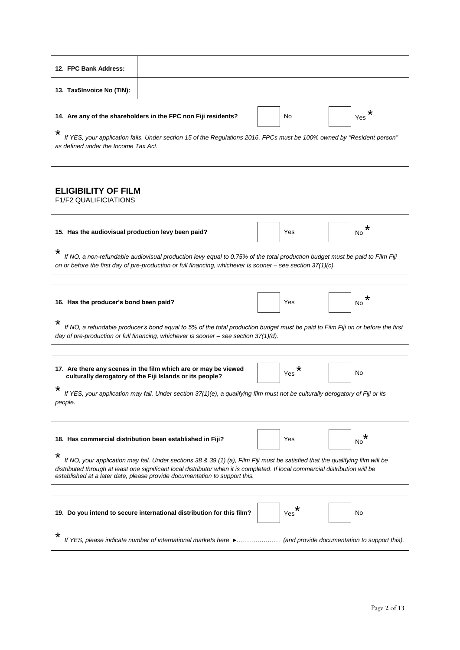| 12. FPC Bank Address:                     |                                                                                                                        |    |          |
|-------------------------------------------|------------------------------------------------------------------------------------------------------------------------|----|----------|
| 13. Tax5Invoice No (TIN):                 |                                                                                                                        |    |          |
|                                           | 14. Are any of the shareholders in the FPC non Fiji residents?                                                         | No | *<br>Yes |
| *<br>as defined under the Income Tax Act. | If YES, your application fails. Under section 15 of the Regulations 2016, FPCs must be 100% owned by "Resident person" |    |          |

## **ELIGIBILITY OF FILM**

F1/F2 QUALIFICIATIONS

 $\overline{1}$ 

| 15. Has the audiovisual production levy been paid?                                                                                                                                                                                                    |  | Yes |  | No |  |  |
|-------------------------------------------------------------------------------------------------------------------------------------------------------------------------------------------------------------------------------------------------------|--|-----|--|----|--|--|
| $\star$<br>If NO, a non-refundable audiovisual production levy equal to 0.75% of the total production budget must be paid to Film Fiji<br>on or before the first day of pre-production or full financing, whichever is sooner – see section 37(1)(c). |  |     |  |    |  |  |
|                                                                                                                                                                                                                                                       |  |     |  |    |  |  |

| 16. Has the producer's bond been paid?                                                                                                                                                                                    | Yes | No |
|---------------------------------------------------------------------------------------------------------------------------------------------------------------------------------------------------------------------------|-----|----|
| If NO, a refundable producer's bond equal to 5% of the total production budget must be paid to Film Fiji on or before the first<br>day of pre-production or full financing, whichever is sooner $-$ see section 37(1)(d). |     |    |

| 17. Are there any scenes in the film which are or may be viewed<br>culturally derogatory of the Fiji Islands or its people?              | Yes | No |
|------------------------------------------------------------------------------------------------------------------------------------------|-----|----|
| If YES, your application may fail. Under section 37(1)(e), a qualifying film must not be culturally derogatory of Fiji or its<br>people. |     |    |

| 18. Has commercial distribution been established in Fiji?                                                                           | Yes | No |
|-------------------------------------------------------------------------------------------------------------------------------------|-----|----|
| ∗<br>If NO, your application may fail. Under sections 38 & 39 (1) (a), Film Fiji must be satisfied that the qualifying film will be |     |    |

*If NO, your application may fail. Under sections 38 & 39 (1) (a), Film Fiji must be satisfied that the qualifying film will be distributed through at least one significant local distributor when it is completed. If local commercial distribution will be established at a later date, please provide documentation to support this.*

|   | 19. Do you intend to secure international distribution for this film? | Yes | <b>No</b> |
|---|-----------------------------------------------------------------------|-----|-----------|
| × |                                                                       |     |           |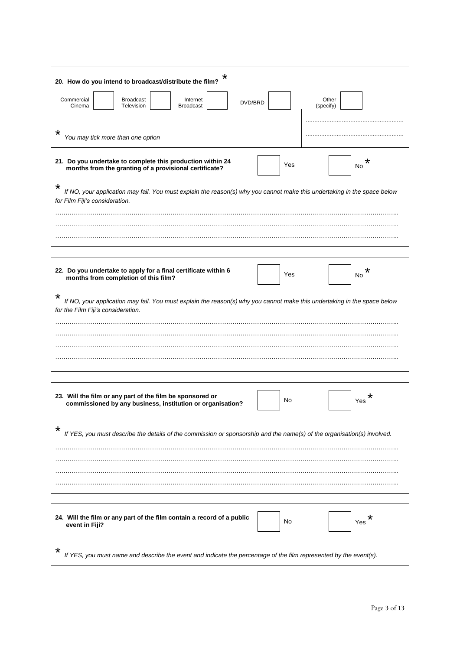| *<br>20. How do you intend to broadcast/distribute the film?                                                                                                           |                    |          |
|------------------------------------------------------------------------------------------------------------------------------------------------------------------------|--------------------|----------|
| Commercial<br><b>Broadcast</b><br>Internet<br>DVD/BRD<br>Cinema<br>Television<br><b>Broadcast</b>                                                                      | Other<br>(specify) |          |
| $^\star$<br>You may tick more than one option                                                                                                                          |                    |          |
| 21. Do you undertake to complete this production within 24<br>months from the granting of a provisional certificate?                                                   | Yes                | *<br>No. |
| $^\star$<br>If NO, your application may fail. You must explain the reason(s) why you cannot make this undertaking in the space below<br>for Film Fiji's consideration. |                    |          |
|                                                                                                                                                                        |                    |          |
|                                                                                                                                                                        |                    |          |
| 22. Do you undertake to apply for a final certificate within 6<br>months from completion of this film?                                                                 | Yes                | *<br>No  |
| *<br>If NO, your application may fail. You must explain the reason(s) why you cannot make this undertaking in the space below<br>for the Film Fiji's consideration.    |                    |          |
|                                                                                                                                                                        |                    |          |
|                                                                                                                                                                        |                    |          |
|                                                                                                                                                                        |                    |          |
|                                                                                                                                                                        |                    |          |
|                                                                                                                                                                        |                    |          |
| 23. Will the film or any part of the film be sponsored or<br>commissioned by any business, institution or organisation?                                                | No                 | Yes      |
|                                                                                                                                                                        |                    |          |
| If YES, you must describe the details of the commission or sponsorship and the name(s) of the organisation(s) involved.                                                |                    |          |
|                                                                                                                                                                        |                    |          |
|                                                                                                                                                                        |                    |          |
|                                                                                                                                                                        |                    |          |
|                                                                                                                                                                        |                    |          |
| 24. Will the film or any part of the film contain a record of a public<br>event in Fiji?                                                                               | No                 | Yes      |
| If YES, you must name and describe the event and indicate the percentage of the film represented by the event(s).                                                      |                    |          |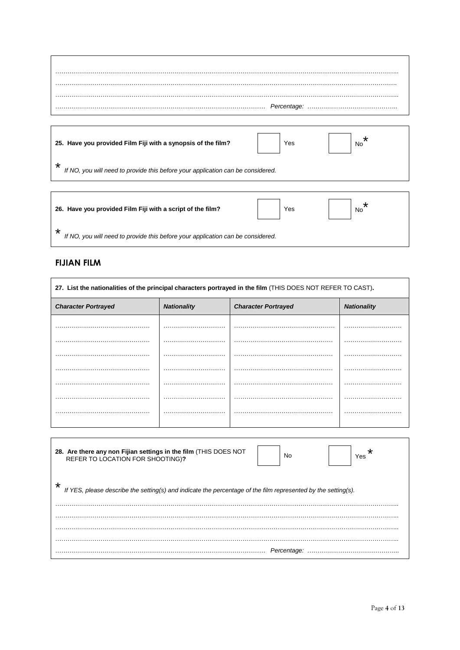| 25. Have you provided Film Fiji with a synopsis of the film?                               | $^\star$<br>Yes<br><b>No</b> |
|--------------------------------------------------------------------------------------------|------------------------------|
| $\star$<br>If NO, you will need to provide this before your application can be considered. |                              |
|                                                                                            |                              |

|   | 26. Have you provided Film Fiji with a script of the film?                      | Yes | <b>No</b> |
|---|---------------------------------------------------------------------------------|-----|-----------|
| * | If NO, you will need to provide this before your application can be considered. |     |           |

# **FIJIAN FILM**

 $\mathsf{r}$ 

| 27. List the nationalities of the principal characters portrayed in the film (THIS DOES NOT REFER TO CAST).               |                    |                            |                    |  |  |  |
|---------------------------------------------------------------------------------------------------------------------------|--------------------|----------------------------|--------------------|--|--|--|
| <b>Character Portrayed</b>                                                                                                | <b>Nationality</b> | <b>Character Portrayed</b> | <b>Nationality</b> |  |  |  |
|                                                                                                                           |                    |                            |                    |  |  |  |
|                                                                                                                           | .                  |                            | .                  |  |  |  |
|                                                                                                                           |                    |                            | .                  |  |  |  |
|                                                                                                                           |                    |                            |                    |  |  |  |
|                                                                                                                           |                    |                            | .                  |  |  |  |
|                                                                                                                           | .                  |                            | .                  |  |  |  |
|                                                                                                                           |                    |                            |                    |  |  |  |
|                                                                                                                           |                    |                            |                    |  |  |  |
| 28. Are there any non Fijian settings in the film (THIS DOES NOT<br>*<br>No<br>Yes<br>REFER TO LOCATION FOR SHOOTING)?    |                    |                            |                    |  |  |  |
| $^\star$<br>If YES, please describe the setting(s) and indicate the percentage of the film represented by the setting(s). |                    |                            |                    |  |  |  |
|                                                                                                                           |                    |                            |                    |  |  |  |
|                                                                                                                           |                    |                            |                    |  |  |  |
|                                                                                                                           |                    |                            |                    |  |  |  |
|                                                                                                                           |                    |                            |                    |  |  |  |

………………………………………………………………………………………… *Percentage:* ……………………………………...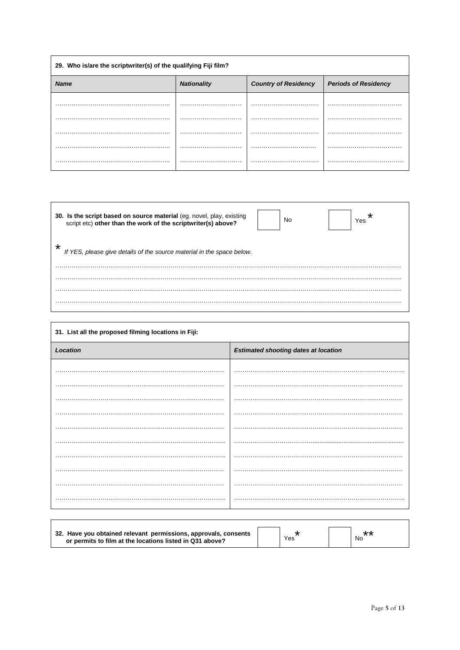| 29. Who is/are the scriptwriter(s) of the qualifying Fiji film? |                    |                             |                             |  |  |  |
|-----------------------------------------------------------------|--------------------|-----------------------------|-----------------------------|--|--|--|
| <b>Name</b>                                                     | <b>Nationality</b> | <b>Country of Residency</b> | <b>Periods of Residency</b> |  |  |  |
|                                                                 |                    |                             |                             |  |  |  |
|                                                                 |                    |                             |                             |  |  |  |
| <br>.                                                           | .                  | .                           |                             |  |  |  |
|                                                                 |                    |                             |                             |  |  |  |
|                                                                 |                    |                             |                             |  |  |  |
|                                                                 | .                  |                             |                             |  |  |  |

| 30. Is the script based on source material (eg. novel, play, existing script etc) other than the work of the scriptwriter(s) above? | No | Yes |
|-------------------------------------------------------------------------------------------------------------------------------------|----|-----|
| ∗<br>If YES, please give details of the source material in the space below.                                                         |    |     |
|                                                                                                                                     |    |     |
|                                                                                                                                     |    |     |
|                                                                                                                                     |    |     |

ľ

 $\Gamma$ 

| 31. List all the proposed filming locations in Fiji: |                                             |  |  |  |
|------------------------------------------------------|---------------------------------------------|--|--|--|
| Location                                             | <b>Estimated shooting dates at location</b> |  |  |  |
|                                                      |                                             |  |  |  |
|                                                      |                                             |  |  |  |
|                                                      |                                             |  |  |  |
|                                                      |                                             |  |  |  |
|                                                      |                                             |  |  |  |
|                                                      |                                             |  |  |  |
|                                                      |                                             |  |  |  |
|                                                      |                                             |  |  |  |
|                                                      |                                             |  |  |  |
|                                                      |                                             |  |  |  |

| 32. Have you obtained relevant permissions, approvals, consents<br>or permits to film at the locations listed in Q31 above? |  | Yes |  | No. |
|-----------------------------------------------------------------------------------------------------------------------------|--|-----|--|-----|
|-----------------------------------------------------------------------------------------------------------------------------|--|-----|--|-----|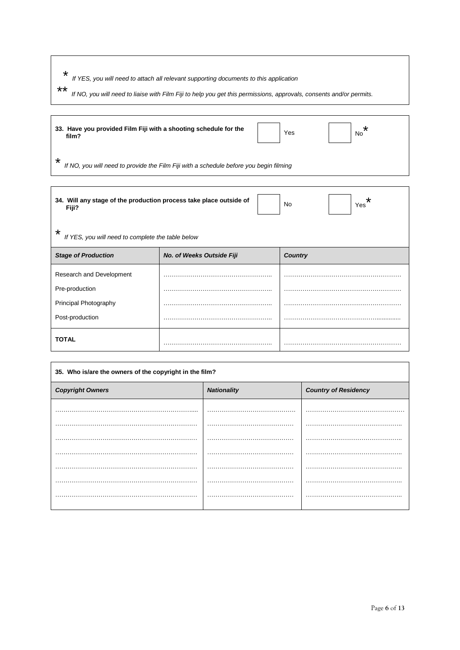- \* *If YES, you will need to attach all relevant supporting documents to this application*
- \*\* *If NO, you will need to liaise with Film Fiji to help you get this permissions, approvals, consents and/or permits.*

| 33. Have you provided Film Fiji with a shooting schedule for the<br>film? | Yes | No |
|---------------------------------------------------------------------------|-----|----|
|                                                                           |     |    |

\* *If NO, you will need to provide the Film Fiji with a schedule before you begin filming*

| 34. Will any stage of the production process take place outside of<br>Fiji? | ∗<br>No<br>Yes            |                |  |  |
|-----------------------------------------------------------------------------|---------------------------|----------------|--|--|
| $\star$<br>If YES, you will need to complete the table below                |                           |                |  |  |
| <b>Stage of Production</b>                                                  | No. of Weeks Outside Fiji | <b>Country</b> |  |  |
| Research and Development                                                    |                           |                |  |  |
| Pre-production                                                              |                           |                |  |  |
| Principal Photography                                                       |                           |                |  |  |
| Post-production                                                             |                           |                |  |  |
| <b>TOTAL</b>                                                                |                           |                |  |  |

| 35. Who is/are the owners of the copyright in the film? |                    |                             |  |  |
|---------------------------------------------------------|--------------------|-----------------------------|--|--|
| <b>Copyright Owners</b>                                 | <b>Nationality</b> | <b>Country of Residency</b> |  |  |
|                                                         |                    |                             |  |  |
|                                                         |                    |                             |  |  |
|                                                         |                    |                             |  |  |
|                                                         |                    |                             |  |  |
|                                                         |                    |                             |  |  |
|                                                         |                    |                             |  |  |
|                                                         |                    |                             |  |  |
|                                                         |                    |                             |  |  |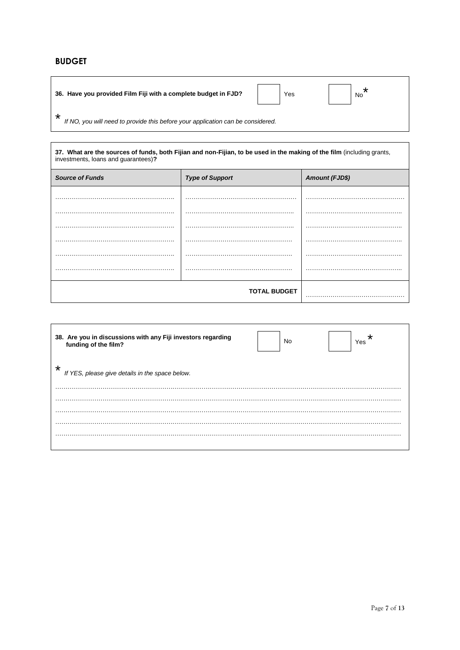# **BUDGET**

|   | 36. Have you provided Film Fiji with a complete budget in FJD?                  | Yes | No |
|---|---------------------------------------------------------------------------------|-----|----|
| ∗ | If NO, you will need to provide this before your application can be considered. |     |    |

| 37. What are the sources of funds, both Fijian and non-Fijian, to be used in the making of the film (including grants,<br>investments, loans and guarantees)? |                        |                       |  |  |
|---------------------------------------------------------------------------------------------------------------------------------------------------------------|------------------------|-----------------------|--|--|
| <b>Source of Funds</b>                                                                                                                                        | <b>Type of Support</b> | <b>Amount (FJD\$)</b> |  |  |
|                                                                                                                                                               |                        |                       |  |  |
|                                                                                                                                                               |                        |                       |  |  |
|                                                                                                                                                               |                        |                       |  |  |
|                                                                                                                                                               |                        |                       |  |  |
|                                                                                                                                                               |                        |                       |  |  |
|                                                                                                                                                               |                        |                       |  |  |
|                                                                                                                                                               | <b>TOTAL BUDGET</b>    |                       |  |  |

| 38. Are you in discussions with any Fiji investors regarding<br>funding of the film? | No | *<br>Yes |
|--------------------------------------------------------------------------------------|----|----------|
| $\star$<br>If YES, please give details in the space below.                           |    |          |
|                                                                                      |    |          |
|                                                                                      |    |          |
|                                                                                      |    |          |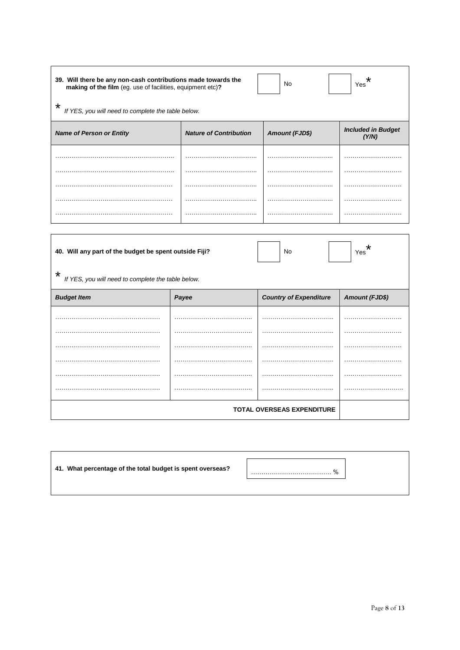| 39. Will there be any non-cash contributions made towards the<br>making of the film (eg. use of facilities, equipment etc)? |                               | No                    | ×<br>Yes                           |  |
|-----------------------------------------------------------------------------------------------------------------------------|-------------------------------|-----------------------|------------------------------------|--|
| $\star$<br>If YES, you will need to complete the table below.                                                               |                               |                       |                                    |  |
| <b>Name of Person or Entity</b>                                                                                             | <b>Nature of Contribution</b> | <b>Amount (FJD\$)</b> | <b>Included in Budget</b><br>(Y/N) |  |
|                                                                                                                             |                               |                       |                                    |  |
|                                                                                                                             |                               |                       |                                    |  |
|                                                                                                                             |                               |                       |                                    |  |
|                                                                                                                             |                               |                       |                                    |  |
|                                                                                                                             |                               |                       |                                    |  |
|                                                                                                                             |                               |                       |                                    |  |
| 40. Will any part of the budget be spent outside Fiji?<br>No<br>Yes                                                         |                               |                       |                                    |  |
| $\star$<br>If YES, you will need to complete the table below.                                                               |                               |                       |                                    |  |

| <b>Budget Item</b> | Payee  | <b>Country of Expenditure</b>     | <b>Amount (FJD\$)</b> |
|--------------------|--------|-----------------------------------|-----------------------|
|                    |        |                                   |                       |
|                    |        |                                   |                       |
| .                  |        |                                   |                       |
|                    |        |                                   |                       |
|                    | .<br>. |                                   |                       |
| .                  |        |                                   |                       |
|                    |        | <b>TOTAL OVERSEAS EXPENDITURE</b> |                       |

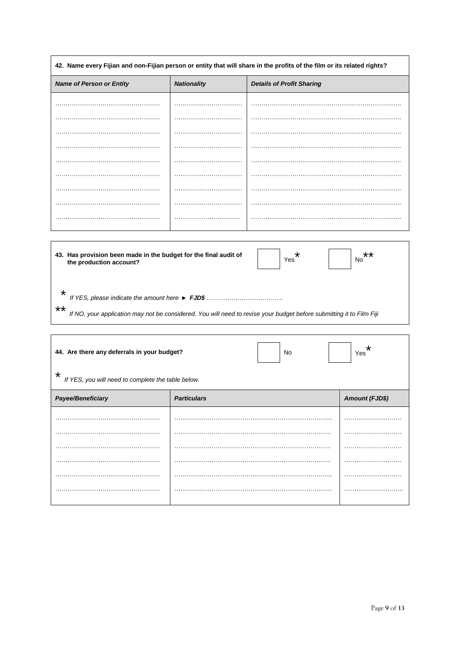| 42. Name every Fijian and non-Fijian person or entity that will share in the profits of the film or its related rights?                                                                                                                                |                    |  |                |  |  |
|--------------------------------------------------------------------------------------------------------------------------------------------------------------------------------------------------------------------------------------------------------|--------------------|--|----------------|--|--|
| <b>Name of Person or Entity</b><br><b>Nationality</b><br><b>Details of Profit Sharing</b>                                                                                                                                                              |                    |  |                |  |  |
|                                                                                                                                                                                                                                                        |                    |  |                |  |  |
|                                                                                                                                                                                                                                                        |                    |  |                |  |  |
|                                                                                                                                                                                                                                                        |                    |  |                |  |  |
|                                                                                                                                                                                                                                                        |                    |  |                |  |  |
|                                                                                                                                                                                                                                                        |                    |  |                |  |  |
|                                                                                                                                                                                                                                                        |                    |  |                |  |  |
|                                                                                                                                                                                                                                                        |                    |  |                |  |  |
|                                                                                                                                                                                                                                                        |                    |  |                |  |  |
|                                                                                                                                                                                                                                                        |                    |  |                |  |  |
|                                                                                                                                                                                                                                                        |                    |  |                |  |  |
| 43. Has provision been made in the budget for the final audit of<br>*<br>**<br>Yes<br>No<br>the production account?<br>*<br>**<br>If NO, your application may not be considered. You will need to revise your budget before submitting it to Film Fiji |                    |  |                |  |  |
| ∗<br>44. Are there any deferrals in your budget?<br>No<br>Yes<br>*<br>If YES, you will need to complete the table below.                                                                                                                               |                    |  |                |  |  |
| Payee/Beneficiary                                                                                                                                                                                                                                      | <b>Particulars</b> |  | Amount (FJD\$) |  |  |
|                                                                                                                                                                                                                                                        |                    |  |                |  |  |
|                                                                                                                                                                                                                                                        |                    |  |                |  |  |
|                                                                                                                                                                                                                                                        |                    |  |                |  |  |
|                                                                                                                                                                                                                                                        |                    |  |                |  |  |
|                                                                                                                                                                                                                                                        |                    |  |                |  |  |
|                                                                                                                                                                                                                                                        |                    |  |                |  |  |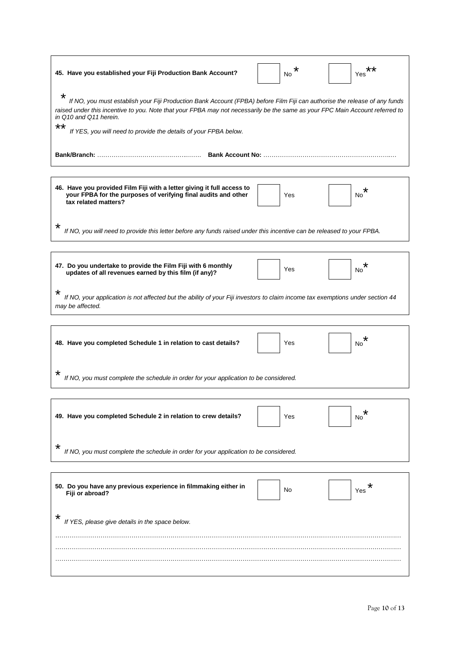| 45. Have you established your Fiji Production Bank Account?                                                                                                                                                                                                                                                                                                         | ×<br>No | **<br>Yes |  |
|---------------------------------------------------------------------------------------------------------------------------------------------------------------------------------------------------------------------------------------------------------------------------------------------------------------------------------------------------------------------|---------|-----------|--|
| *<br>If NO, you must establish your Fiji Production Bank Account (FPBA) before Film Fiji can authorise the release of any funds<br>raised under this incentive to you. Note that your FPBA may not necessarily be the same as your FPC Main Account referred to<br>in Q10 and Q11 herein.<br>**<br>If YES, you will need to provide the details of your FPBA below. |         |           |  |
|                                                                                                                                                                                                                                                                                                                                                                     |         |           |  |
| 46. Have you provided Film Fiji with a letter giving it full access to<br>your FPBA for the purposes of verifying final audits and other<br>tax related matters?                                                                                                                                                                                                    | Yes     | *<br>No   |  |
| ∗<br>If NO, you will need to provide this letter before any funds raised under this incentive can be released to your FPBA.                                                                                                                                                                                                                                         |         |           |  |
| 47. Do you undertake to provide the Film Fiji with 6 monthly<br>updates of all revenues earned by this film (if any)?                                                                                                                                                                                                                                               | Yes     | *<br>No   |  |
| *<br>If NO, your application is not affected but the ability of your Fiji investors to claim income tax exemptions under section 44<br>may be affected.                                                                                                                                                                                                             |         |           |  |
| 48. Have you completed Schedule 1 in relation to cast details?                                                                                                                                                                                                                                                                                                      | Yes     | *<br>No   |  |
| *<br>If NO, you must complete the schedule in order for your application to be considered.                                                                                                                                                                                                                                                                          |         |           |  |
| 49. Have you completed Schedule 2 in relation to crew details?                                                                                                                                                                                                                                                                                                      | Yes     | *<br>No   |  |
| *<br>If NO, you must complete the schedule in order for your application to be considered.                                                                                                                                                                                                                                                                          |         |           |  |
| 50. Do you have any previous experience in filmmaking either in<br>Fiji or abroad?                                                                                                                                                                                                                                                                                  | No      | Yes       |  |
| ∗<br>If YES, please give details in the space below.                                                                                                                                                                                                                                                                                                                |         |           |  |
|                                                                                                                                                                                                                                                                                                                                                                     |         |           |  |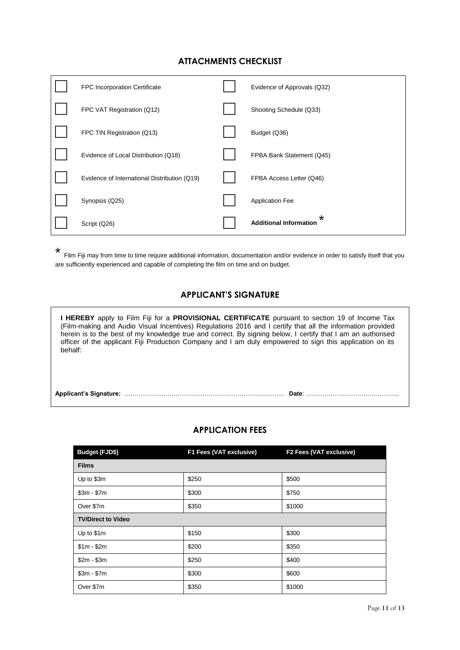#### **ATTACHMENTS CHECKLIST**

| <b>FPC Incorporation Certificate</b>         | Evidence of Approvals (Q32)              |
|----------------------------------------------|------------------------------------------|
| FPC VAT Registration (Q12)                   | Shooting Schedule (Q33)                  |
| FPC TIN Registration (Q13)                   | Budget (Q36)                             |
| Evidence of Local Distribution (Q18)         | FPBA Bank Statement (Q45)                |
| Evidence of International Distribution (Q19) | FPBA Access Letter (Q46)                 |
| Synopsis (Q25)                               | <b>Application Fee</b>                   |
| Script (Q26)                                 | $\star$<br><b>Additional Information</b> |

\* Film Fiji may from time to time require additional information, documentation and/or evidence in order to satisfy itself that you are sufficiently experienced and capable of completing the film on time and on budget.

#### **APPLICANT'S SIGNATURE**

**I HEREBY** apply to Film Fiji for a **PROVISIONAL CERTIFICATE** pursuant to section 19 of Income Tax (Film-making and Audio Visual Incentives) Regulations 2016 and I certify that all the information provided herein is to the best of my knowledge true and correct. By signing below, I certify that I am an authorised officer of the applicant Fiji Production Company and I am duly empowered to sign this application on its behalf:

**Applicant's Signature:** …………………………………………………………….…….. **Date**: …………………………….………...

#### **APPLICATION FEES**

| Budget (FJD\$)            | F1 Fees (VAT exclusive) | F2 Fees (VAT exclusive) |  |
|---------------------------|-------------------------|-------------------------|--|
| <b>Films</b>              |                         |                         |  |
| Up to \$3m                | \$250                   | \$500                   |  |
| $$3m - $7m$               | \$300                   | \$750                   |  |
| Over \$7m                 | \$350                   | \$1000                  |  |
| <b>TV/Direct to Video</b> |                         |                         |  |
| Up to \$1m                | \$150                   | \$300                   |  |
| $$1m - $2m$               | \$200                   | \$350                   |  |
| $$2m - $3m$               | \$250                   | \$400                   |  |
| $$3m - $7m$               | \$300                   | \$600                   |  |
| Over \$7m                 | \$350                   | \$1000                  |  |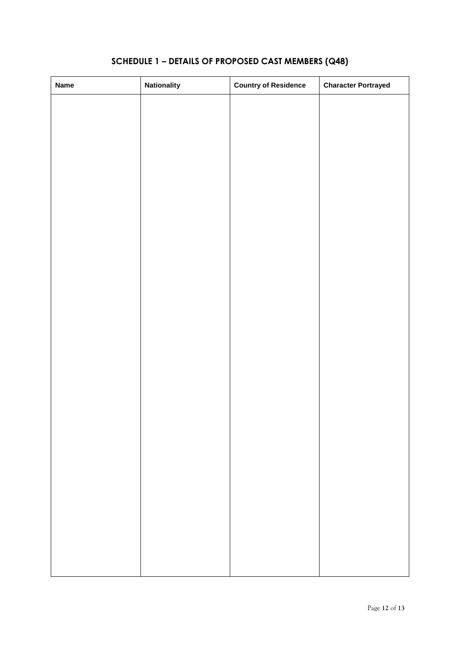# **SCHEDULE 1 – DETAILS OF PROPOSED CAST MEMBERS (Q48)**

| <b>Name</b> | <b>Nationality</b> | <b>Country of Residence</b> | <b>Character Portrayed</b> |
|-------------|--------------------|-----------------------------|----------------------------|
|             |                    |                             |                            |
|             |                    |                             |                            |
|             |                    |                             |                            |
|             |                    |                             |                            |
|             |                    |                             |                            |
|             |                    |                             |                            |
|             |                    |                             |                            |
|             |                    |                             |                            |
|             |                    |                             |                            |
|             |                    |                             |                            |
|             |                    |                             |                            |
|             |                    |                             |                            |
|             |                    |                             |                            |
|             |                    |                             |                            |
|             |                    |                             |                            |
|             |                    |                             |                            |
|             |                    |                             |                            |
|             |                    |                             |                            |
|             |                    |                             |                            |
|             |                    |                             |                            |
|             |                    |                             |                            |
|             |                    |                             |                            |
|             |                    |                             |                            |
|             |                    |                             |                            |
|             |                    |                             |                            |
|             |                    |                             |                            |